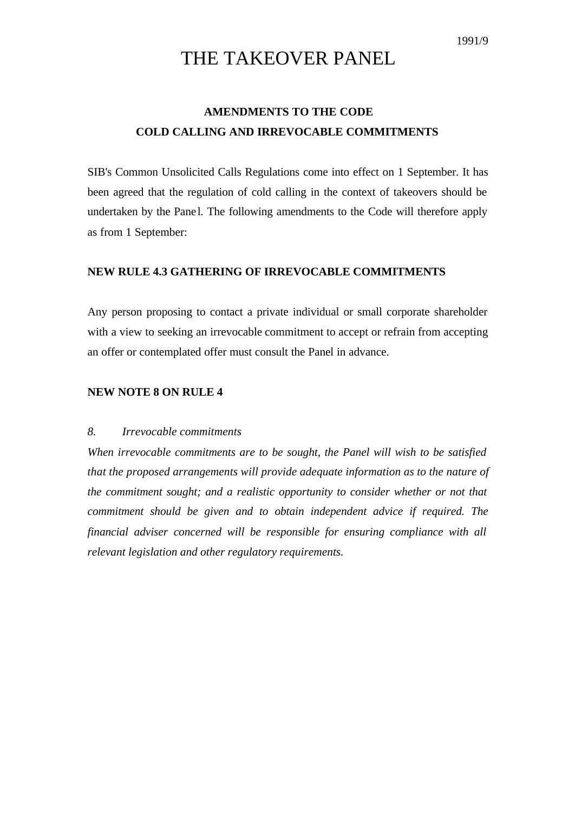# THE TAKEOVER PANEL

## **AMENDMENTS TO THE CODE COLD CALLING AND IRREVOCABLE COMMITMENTS**

SIB's Common Unsolicited Calls Regulations come into effect on 1 September. It has been agreed that the regulation of cold calling in the context of takeovers should be undertaken by the Pane l. The following amendments to the Code will therefore apply as from 1 September:

### **NEW RULE 4.3 GATHERING OF IRREVOCABLE COMMITMENTS**

Any person proposing to contact a private individual or small corporate shareholder with a view to seeking an irrevocable commitment to accept or refrain from accepting an offer or contemplated offer must consult the Panel in advance.

#### **NEW NOTE 8 ON RULE 4**

#### *8. Irrevocable commitments*

*When irrevocable commitments are to be sought, the Panel will wish to be satisfied that the proposed arrangements will provide adequate information as to the nature of the commitment sought; and a realistic opportunity to consider whether or not that commitment should be given and to obtain independent advice if required. The financial adviser concerned will be responsible for ensuring compliance with all relevant legislation and other regulatory requirements.*